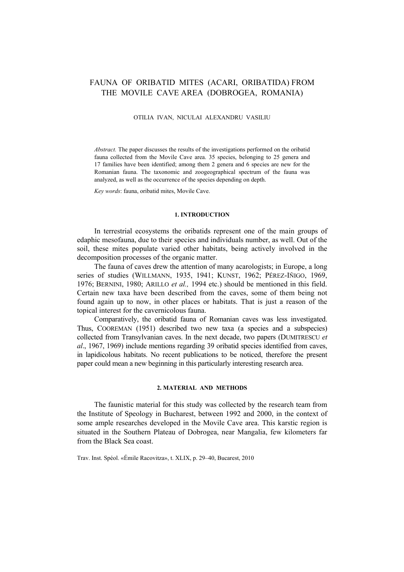# FAUNA OF ORIBATID MITES (ACARI, ORIBATIDA) FROM THE MOVILE CAVE AREA (DOBROGEA, ROMANIA)

#### OTILIA IVAN, NICULAI ALEXANDRU VASILIU

*Abstract.* The paper discusses the results of the investigations performed on the oribatid fauna collected from the Movile Cave area. 35 species, belonging to 25 genera and 17 families have been identified; among them 2 genera and 6 species are new for the Romanian fauna. The taxonomic and zoogeographical spectrum of the fauna was analyzed, as well as the occurrence of the species depending on depth.

*Key words*: fauna, oribatid mites, Movile Cave.

#### **1. INTRODUCTION**

In terrestrial ecosystems the oribatids represent one of the main groups of edaphic mesofauna, due to their species and individuals number, as well. Out of the soil, these mites populate varied other habitats, being actively involved in the decomposition processes of the organic matter.

The fauna of caves drew the attention of many acarologists; in Europe, a long series of studies (WILLMANN, 1935, 1941; KUNST, 1962; PÉREZ-IÑIGO, 1969, 1976; BERNINI, 1980; ARILLO *et al.,* 1994 etc.) should be mentioned in this field. Certain new taxa have been described from the caves, some of them being not found again up to now, in other places or habitats. That is just a reason of the topical interest for the cavernicolous fauna.

Comparatively, the oribatid fauna of Romanian caves was less investigated. Thus, COOREMAN (1951) described two new taxa (a species and a subspecies) collected from Transylvanian caves. In the next decade, two papers (DUMITRESCU *et al*., 1967, 1969) include mentions regarding 39 oribatid species identified from caves, in lapidicolous habitats. No recent publications to be noticed, therefore the present paper could mean a new beginning in this particularly interesting research area.

### **2. MATERIAL AND METHODS**

The faunistic material for this study was collected by the research team from the Institute of Speology in Bucharest, between 1992 and 2000, in the context of some ample researches developed in the Movile Cave area. This karstic region is situated in the Southern Plateau of Dobrogea, near Mangalia, few kilometers far from the Black Sea coast.

Trav. Inst. Spéol. «Émile Racovitza», t. XLIX, p. 29–40, Bucarest, 2010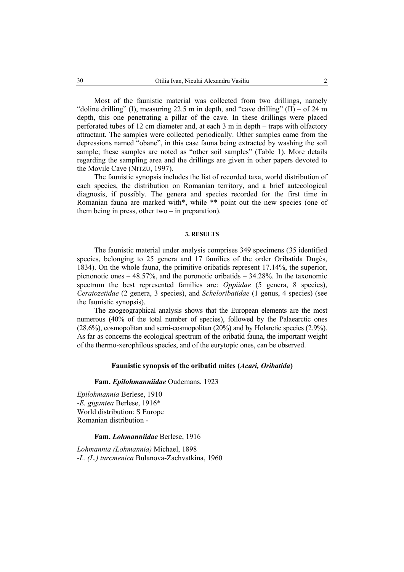Most of the faunistic material was collected from two drillings, namely "doline drilling" (I), measuring 22.5 m in depth, and "cave drilling" (II) – of 24 m depth, this one penetrating a pillar of the cave. In these drillings were placed perforated tubes of 12 cm diameter and, at each 3 m in depth – traps with olfactory attractant. The samples were collected periodically. Other samples came from the depressions named "obane", in this case fauna being extracted by washing the soil sample; these samples are noted as "other soil samples" (Table 1). More details regarding the sampling area and the drillings are given in other papers devoted to the Movile Cave (NITZU, 1997).

The faunistic synopsis includes the list of recorded taxa, world distribution of each species, the distribution on Romanian territory, and a brief autecological diagnosis, if possibly. The genera and species recorded for the first time in Romanian fauna are marked with\*, while \*\* point out the new species (one of them being in press, other two – in preparation).

#### **3. RESULTS**

The faunistic material under analysis comprises 349 specimens (35 identified species, belonging to 25 genera and 17 families of the order Oribatida Dugès, 1834). On the whole fauna, the primitive oribatids represent 17.14%, the superior, picnonotic ones  $-48.57\%$ , and the poronotic oribatids  $-34.28\%$ . In the taxonomic spectrum the best represented families are: *Oppiidae* (5 genera, 8 species), *Ceratozetidae* (2 genera, 3 species), and *Scheloribatidae* (1 genus, 4 species) (see the faunistic synopsis).

The zoogeographical analysis shows that the European elements are the most numerous (40% of the total number of species), followed by the Palaearctic ones (28.6%), cosmopolitan and semi-cosmopolitan (20%) and by Holarctic species (2.9%). As far as concerns the ecological spectrum of the oribatid fauna, the important weight of the thermo-xerophilous species, and of the eurytopic ones, can be observed.

### **Faunistic synopsis of the oribatid mites (***Acari, Oribatida***)**

#### **Fam.** *Epilohmanniidae* Oudemans, 1923

*Epilohmannia* Berlese, 1910 -*E. gigantea* Berlese, 1916\* World distribution: S Europe Romanian distribution -

### **Fam.** *Lohmanniidae* Berlese, 1916

*Lohmannia (Lohmannia)* Michael, 1898 *-L. (L.) turcmenica* Bulanova-Zachvatkina, 1960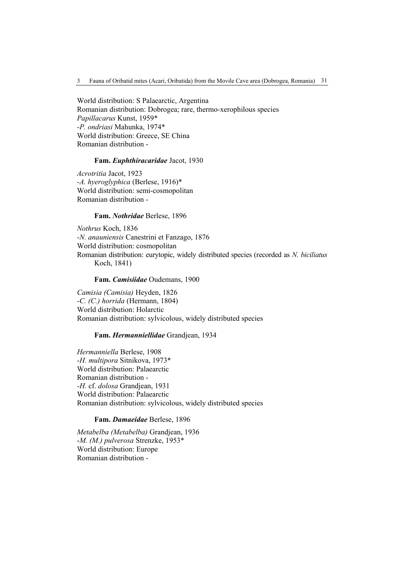World distribution: S Palaearctic, Argentina Romanian distribution: Dobrogea; rare, thermo-xerophilous species *Papillacarus* Kunst, 1959\* -*P. ondriasi* Mahunka, 1974\* World distribution: Greece, SE China Romanian distribution -

## **Fam.** *Euphthiracaridae* Jacot, 1930

*Acrotritia* Jacot, 1923 -*A. hyeroglyphica* (Berlese, 1916)\* World distribution: semi-cosmopolitan Romanian distribution -

**Fam.** *Nothridae* Berlese, 1896

*Nothrus* Koch, 1836 -*N. anauniensis* Canestrini et Fanzago, 1876 World distribution: cosmopolitan Romanian distribution: eurytopic, widely distributed species (recorded as *N. biciliatus* Koch, 1841)

### **Fam.** *Camisiidae* Oudemans, 1900

*Camisia (Camisia)* Heyden, 1826 -*C. (C.) horrida* (Hermann, 1804) World distribution: Holarctic Romanian distribution: sylvicolous, widely distributed species

### **Fam.** *Hermanniellidae* Grandjean, 1934

*Hermanniella* Berlese, 1908 -*H. multipora* Sitnikova, 1973\* World distribution: Palaearctic Romanian distribution - -*H.* cf. *dolosa* Grandjean, 1931 World distribution: Palaearctic Romanian distribution: sylvicolous, widely distributed species

## **Fam.** *Damaeidae* Berlese, 1896

*Metabelba (Metabelba)* Grandjean, 1936 -*M. (M.) pulverosa* Strenzke, 1953\* World distribution: Europe Romanian distribution -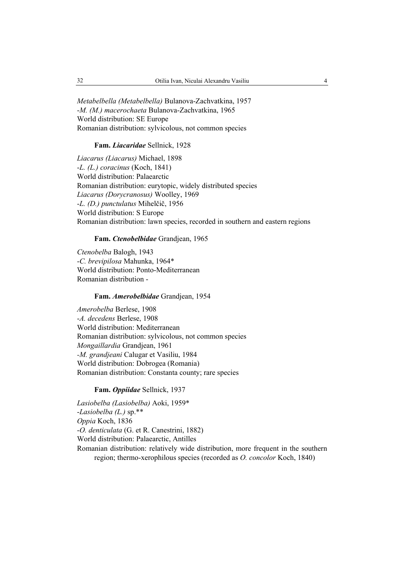*Metabelbella (Metabelbella)* Bulanova-Zachvatkina, 1957 -*M. (M.) macerochaeta* Bulanova-Zachvatkina, 1965 World distribution: SE Europe Romanian distribution: sylvicolous, not common species

## **Fam.** *Liacaridae* Sellnick, 1928

*Liacarus (Liacarus)* Michael, 1898 -*L. (L.) coracinus* (Koch, 1841) World distribution: Palaearctic Romanian distribution: eurytopic, widely distributed species *Liacarus (Dorycranosus)* Woolley, 1969 -*L. (D.) punctulatus* Mihelčič, 1956 World distribution: S Europe Romanian distribution: lawn species, recorded in southern and eastern regions

### **Fam.** *Ctenobelbidae* Grandjean, 1965

*Ctenobelba* Balogh, 1943 -*C. brevipilosa* Mahunka, 1964\* World distribution: Ponto-Mediterranean Romanian distribution -

## **Fam.** *Amerobelbidae* Grandjean, 1954

*Amerobelba* Berlese, 1908 -*A. decedens* Berlese, 1908 World distribution: Mediterranean Romanian distribution: sylvicolous, not common species *Mongaillardia* Grandjean, 1961 *-M. grandjeani* Calugar et Vasiliu, 1984 World distribution: Dobrogea (Romania) Romanian distribution: Constanta county; rare species

### **Fam.** *Oppiidae* Sellnick, 1937

*Lasiobelba (Lasiobelba)* Aoki, 1959\* -*Lasiobelba (L.)* sp.\*\* *Oppia* Koch, 1836 -*O. denticulata* (G. et R. Canestrini, 1882) World distribution: Palaearctic, Antilles Romanian distribution: relatively wide distribution, more frequent in the southern region; thermo-xerophilous species (recorded as *O. concolor* Koch, 1840)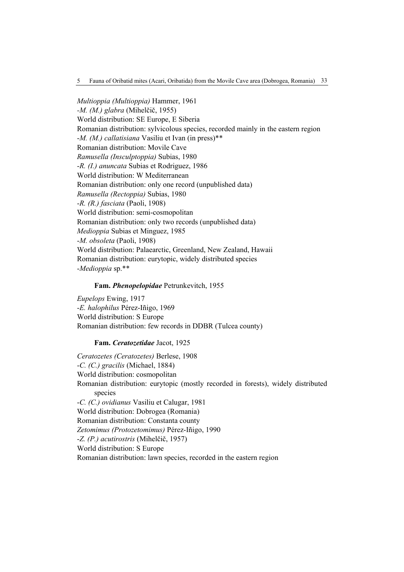*Multioppia (Multioppia)* Hammer, 1961 *-M. (M.) glabra* (Mihelčič, 1955) World distribution: SE Europe, E Siberia Romanian distribution: sylvicolous species, recorded mainly in the eastern region -*M. (M.) callatisiana* Vasiliu et Ivan (in press)\*\* Romanian distribution: Movile Cave *Ramusella (Insculptoppia)* Subias, 1980 -*R. (I.) anuncata* Subias et Rodriguez, 1986 World distribution: W Mediterranean Romanian distribution: only one record (unpublished data) *Ramusella (Rectoppia)* Subias, 1980 -*R. (R.) fasciata* (Paoli, 1908) World distribution: semi-cosmopolitan Romanian distribution: only two records (unpublished data) *Medioppia* Subias et Minguez, 1985 -*M. obsoleta* (Paoli, 1908) World distribution: Palaearctic, Greenland, New Zealand, Hawaii Romanian distribution: eurytopic, widely distributed species -*Medioppia* sp.\*\*

### **Fam.** *Phenopelopidae* Petrunkevitch, 1955

*Eupelops* Ewing, 1917 -*E. halophilus* Pérez-Iñigo, 1969 World distribution: S Europe Romanian distribution: few records in DDBR (Tulcea county)

### **Fam.** *Ceratozetidae* Jacot, 1925

*Ceratozetes (Ceratozetes)* Berlese, 1908 -*C. (C.) gracilis* (Michael, 1884) World distribution: cosmopolitan Romanian distribution: eurytopic (mostly recorded in forests), widely distributed species -*C. (C.) ovidianus* Vasiliu et Calugar, 1981 World distribution: Dobrogea (Romania) Romanian distribution: Constanta county *Zetomimus (Protozetomimus)* Pérez-Iñigo, 1990 -*Z. (P.) acutirostris* (Mihelčič, 1957) World distribution: S Europe Romanian distribution: lawn species, recorded in the eastern region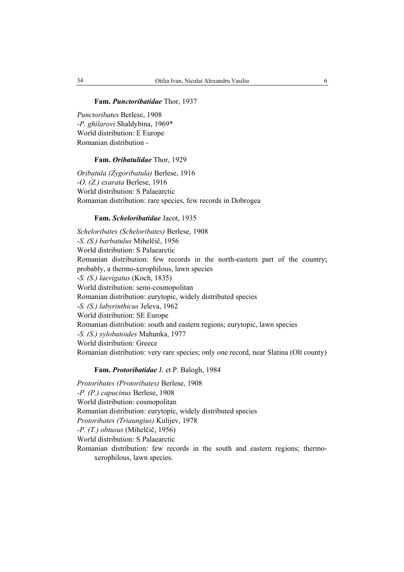### **Fam.** *Punctoribatidae* Thor, 1937

*Punctoribates* Berlese, 1908 -*P. ghilarovi* Shaldybina, 1969\* World distribution: E Europe Romanian distribution -

### **Fam.** *Oribatulidae* Thor, 1929

*Oribatula (Zygoribatula)* Berlese, 1916 -*O. (Z.) exarata* Berlese, 1916 World distribution: S Palaearctic Romanian distribution: rare species, few records in Dobrogea

#### **Fam.** *Scheloribatidae* Jacot, 1935

*Scheloribates (Scheloribates)* Berlese, 1908 -*S. (S.) barbatulus* Mihelčič, 1956 World distribution: S Palaearctic Romanian distribution: few records in the north-eastern part of the country; probably, a thermo-xerophilous, lawn species -*S. (S.) laevigatus* (Koch, 1835) World distribution: semi-cosmopolitan Romanian distribution: eurytopic, widely distributed species -*S. (S.) labyrinthicus* Jeleva, 1962 World distribution: SE Europe Romanian distribution: south and eastern regions; eurytopic, lawn species *-S. (S.) xylobatoides* Mahunka, 1977 World distribution: Greece Romanian distribution: very rare species; only one record, near Slatina (Olt county)

### **Fam.** *Protoribatidae* J. et P. Balogh, 1984

*Protoribates (Protoribates)* Berlese, 1908 -*P. (P.) capucinus* Berlese, 1908 World distribution: cosmopolitan Romanian distribution: eurytopic, widely distributed species *Protoribates (Triaungius)* Kulijev, 1978 -*P. (T.) obtusus* (Mihelčič, 1956) World distribution: S Palaearctic Romanian distribution: few records in the south and eastern regions; thermoxerophilous, lawn species.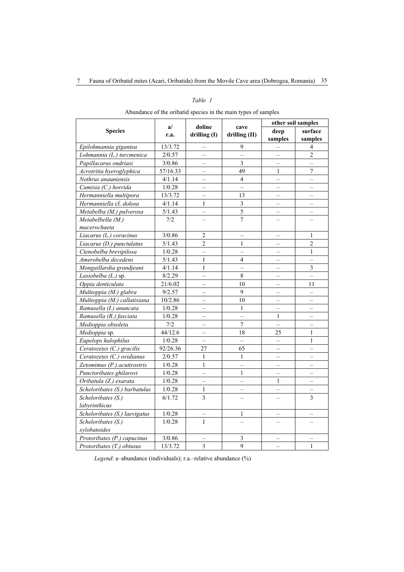## *Table 1*

| Abundance of the oribatid species in the main types of samples |  |  |  |
|----------------------------------------------------------------|--|--|--|
|                                                                |  |  |  |
|                                                                |  |  |  |
|                                                                |  |  |  |

|                               | a/<br>r.a. | doline                   |                          | other soil samples       |                          |  |
|-------------------------------|------------|--------------------------|--------------------------|--------------------------|--------------------------|--|
| <b>Species</b>                |            | drilling (I)             | cave<br>drilling (II)    | deep                     | surface                  |  |
|                               |            |                          |                          | samples                  | samples                  |  |
| Epilohmannia gigantea         | 13/3.72    | $\qquad \qquad -$        | 9                        |                          | 4                        |  |
| Lohmannia (L.) turcmenica     | 2/0.57     | $\equiv$                 | $\overline{\phantom{0}}$ |                          | $\overline{2}$           |  |
| Papillacarus ondriasi         | 3/0.86     | $\equiv$                 | $\overline{3}$           |                          | $\overline{\phantom{0}}$ |  |
| Acrotritia hyeroglyphica      | 57/16.33   |                          | 49                       | 1                        | $\overline{7}$           |  |
| Nothrus anauniensis           | 4/1.14     | $\overline{a}$           | $\overline{4}$           | $\overline{a}$           | $\overline{a}$           |  |
| Camisia (C.) horrida          | 1/0.28     | $\equiv$                 | $\overline{\phantom{0}}$ | $\overline{\phantom{0}}$ | $\overline{\phantom{0}}$ |  |
| Hermanniella multipora        | 13/3.72    |                          | 13                       |                          | -                        |  |
| Hermanniella cf. dolosa       | 4/1.14     | 1                        | $\overline{\mathbf{3}}$  |                          |                          |  |
| Metabelba (M.) pulverosa      | 5/1.43     | $\equiv$                 | $\overline{5}$           | $\overline{\phantom{0}}$ | $\overline{\phantom{0}}$ |  |
| Metabelbella (M.)             | 7/2        |                          | $\overline{7}$           |                          |                          |  |
| macerochaeta                  |            |                          |                          |                          |                          |  |
| Liacarus (L.) coracinus       | 3/0.86     | $\overline{2}$           | $\overline{\phantom{0}}$ | $\qquad \qquad -$        | 1                        |  |
| Liacarus (D.) punctulatus     | 5/1.43     | $\overline{2}$           | 1                        |                          | $\overline{2}$           |  |
| Ctenobelba brevipilosa        | 1/0.28     | $\overline{\phantom{0}}$ | $\overline{\phantom{0}}$ | $\overline{\phantom{0}}$ | $\mathbf{1}$             |  |
| Amerobelba decedens           | 5/1.43     | 1                        | $\overline{4}$           |                          |                          |  |
| Mongaillardia grandjeani      | 4/1.14     | $\mathbf{1}$             | $\overline{a}$           | $\overline{a}$           | $\overline{3}$           |  |
| Lasiobelba (L.) sp.           | 8/2.29     | $\overline{\phantom{0}}$ | $\,8\,$                  | $\overline{\phantom{0}}$ | $\overline{\phantom{0}}$ |  |
| Oppia denticulata             | 21/6.02    |                          | 10                       |                          | 11                       |  |
| Multioppia (M.) glabra        | 9/2.57     | $\overline{\phantom{0}}$ | 9                        | $\overline{\phantom{0}}$ | $\overline{\phantom{0}}$ |  |
| Multioppia (M.) callatisiana  | 10/2.86    | $\equiv$                 | 10                       | $\overline{\phantom{0}}$ | $\overline{\phantom{0}}$ |  |
| Ramusella (I.) anuncata       | 1/0.28     |                          | $\mathbf{1}$             |                          |                          |  |
| Ramusella (R.) fasciata       | 1/0.28     | $\overline{\phantom{0}}$ | $\overline{a}$           | $\mathbf{1}$             | $\overline{\phantom{0}}$ |  |
| Medioppia obsoleta            | 7/2        |                          | $\overline{7}$           |                          |                          |  |
| Medioppia sp.                 | 44/12.6    | $\overline{a}$           | 18                       | 25                       | $\mathbf{1}$             |  |
| Eupelops halophilus           | 1/0.28     | $\equiv$                 | $\overline{a}$           | $\overline{a}$           | $\mathbf{1}$             |  |
| Ceratozetes (C.) gracilis     | 92/26.36   | 27                       | 65                       |                          |                          |  |
| Ceratozetes (C.) ovidianus    | 2/0.57     | $\mathbf{1}$             | 1                        |                          |                          |  |
| Zetomimus (P.) acutirostris   | 1/0.28     | $\mathbf{1}$             | $\overline{a}$           | $\overline{a}$           | $\overline{a}$           |  |
| Punctoribates ghilarovi       | 1/0.28     |                          | 1                        |                          | $\overline{\phantom{0}}$ |  |
| Oribatula (Z.) exarata        | 1/0.28     | $\overline{\phantom{0}}$ | $\overline{\phantom{0}}$ | 1                        | $\overline{\phantom{0}}$ |  |
| Scheloribates (S.) barbatulus | 1/0.28     | $\mathbf{1}$             | -                        | $\overline{\phantom{0}}$ | -                        |  |
| Scheloribates (S.)            | 6/1.72     | 3                        |                          |                          | 3                        |  |
| labyrinthicus                 |            |                          |                          |                          |                          |  |
| Scheloribates (S.) laevigatus | 1/0.28     | $\qquad \qquad -$        | 1                        | $\qquad \qquad -$        | $\qquad \qquad -$        |  |
| Scheloribates (S.)            | 1/0.28     | $\mathbf{1}$             |                          |                          |                          |  |
| xylobatoides                  |            |                          |                          |                          |                          |  |
| Protoribates (P.) capucinus   | 3/0.86     | $\equiv$                 | 3                        |                          |                          |  |
| Protoribates (T.) obtusus     | 13/3.72    | 3                        | 9                        |                          | $\mathbf{1}$             |  |

*Legend*: a–abundance (individuals); r.a.–relative abundance (%)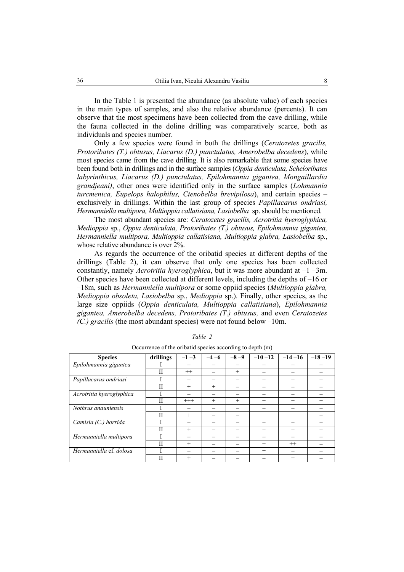In the Table 1 is presented the abundance (as absolute value) of each species in the main types of samples, and also the relative abundance (percents). It can observe that the most specimens have been collected from the cave drilling, while the fauna collected in the doline drilling was comparatively scarce, both as individuals and species number.

Only a few species were found in both the drillings (*Ceratozetes gracilis, Protoribates (T.) obtusus, Liacarus (D.) punctulatus, Amerobelba decedens*), while most species came from the cave drilling. It is also remarkable that some species have been found both in drillings and in the surface samples (*Oppia denticulata, Scheloribates labyrinthicus, Liacarus (D.) punctulatus, Epilohmannia gigantea, Mongaillardia grandjeani)*, other ones were identified only in the surface samples (*Lohmannia turcmenica, Eupelops halophilus, Ctenobelba brevipilosa*), and certain species – exclusively in drillings. Within the last group of species *Papillacarus ondriasi, Hermanniella multipora, Multioppia callatisiana, Lasiobelba* sp. should be mentioned.

The most abundant species are: *Ceratozetes gracilis, Acrotritia hyeroglyphica, Medioppia* sp., *Oppia denticulata, Protoribates (T.) obtusus, Epilohmannia gigantea, Hermanniella multipora, Multioppia callatisiana, Multioppia glabra, Lasiobelba* sp., whose relative abundance is over 2%.

As regards the occurrence of the oribatid species at different depths of the drillings (Table 2), it can observe that only one species has been collected constantly, namely *Acrotritia hyeroglyphica*, but it was more abundant at –1 –3m. Other species have been collected at different levels, including the depths of –16 or –18m, such as *Hermanniella multipora* or some oppiid species (*Multioppia glabra, Medioppia obsoleta, Lasiobelba* sp., *Medioppia* sp.). Finally, other species, as the large size oppiids (*Oppia denticulata, Multioppia callatisiana*), *Epilohmannia gigantea, Amerobelba decedens, Protoribates (T.) obtusus,* and even *Ceratozetes (C.) gracilis* (the most abundant species) were not found below –10m.

| <b>Species</b>           | drillings | $-1-3$   | $-4-6$ | $-8-9$ | $-10-12$ | $-14-16$ | $-18-19$ |
|--------------------------|-----------|----------|--------|--------|----------|----------|----------|
| Epilohmannia gigantea    |           |          |        |        |          |          |          |
|                          | H         | $^{++}$  |        | $^{+}$ |          |          |          |
| Papillacarus ondriasi    |           |          |        |        |          |          |          |
|                          | H         | $+$      | $^{+}$ |        |          |          |          |
| Acrotritia hyeroglyphica |           |          |        |        |          |          |          |
|                          | Н         | $^{+++}$ | $^{+}$ | $^{+}$ | $^{+}$   | $^{+}$   | $^{+}$   |
| Nothrus anauniensis      |           |          |        |        |          |          |          |
|                          | H         | $^{+}$   |        |        | $^{+}$   | $^{+}$   |          |
| Camisia (C.) horrida     |           |          |        |        |          |          |          |
|                          | H         | $^{+}$   |        |        |          |          |          |
| Hermanniella multipora   |           |          |        |        |          |          |          |
|                          | H         | $^{+}$   |        |        | $+$      | $^{++}$  |          |
| Hermanniella cf. dolosa  |           |          |        |        | $+$      |          |          |
|                          | П         | $^{+}$   |        |        |          | $^{+}$   |          |

*Table 2*

Occurrence of the oribatid species according to depth (m)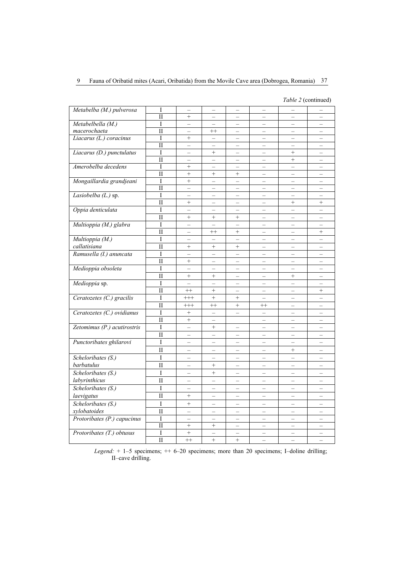## 9 Fauna of Oribatid mites (Acari, Oribatida) from the Movile Cave area (Dobrogea, Romania) 37

*Table 2* (continued)

| Metabelba (M.) pulverosa    | I                       | $\equiv$                 | $\equiv$                 | $\equiv$                 | $\equiv$                 | $\overline{\phantom{0}}$ | $\equiv$                 |
|-----------------------------|-------------------------|--------------------------|--------------------------|--------------------------|--------------------------|--------------------------|--------------------------|
|                             | П                       | $+$                      |                          |                          |                          |                          |                          |
| Metabelbella (M.)           | I                       | $\qquad \qquad -$        | $\overline{\phantom{0}}$ | $\overline{\phantom{0}}$ | $\qquad \qquad -$        | $\overline{\phantom{0}}$ | $\overline{\phantom{0}}$ |
| macerochaeta                | $\overline{\rm II}$     |                          | $^{++}$                  |                          |                          |                          |                          |
| Liacarus (L.) coracinus     | I                       | $+$                      | $\overline{\phantom{0}}$ | $\overline{\phantom{0}}$ | $\overline{\phantom{0}}$ | $\overline{\phantom{0}}$ | $\overline{\phantom{0}}$ |
|                             | $\mathbf{I}$            | $\qquad \qquad -$        | $\qquad \qquad -$        | $\overline{\phantom{0}}$ | $\qquad \qquad -$        | $\overline{\phantom{0}}$ | $\overline{\phantom{0}}$ |
| Liacarus (D.) punctulatus   | I                       | $\overline{\phantom{0}}$ | $^{+}$                   | $\overline{\phantom{0}}$ | $\overline{a}$           | $^{+}$                   | $\equiv$                 |
|                             | $\mathbf{I}$            |                          | $\overline{\phantom{0}}$ | $\overline{\phantom{0}}$ | $\equiv$                 | $^{+}$                   |                          |
| Amerobelba decedens         | I                       | $\ddot{}$                |                          |                          |                          | $\overline{a}$           |                          |
|                             | $\mathbf{I}$            | $^{+}$                   | $^{+}$                   | $^{+}$                   | $\overline{\phantom{0}}$ | -                        | $\overline{\phantom{0}}$ |
| Mongaillardia grandjeani    | I                       | $^{+}$                   | $\overline{\phantom{0}}$ |                          |                          |                          |                          |
|                             | $\overline{\rm II}$     | $\qquad \qquad -$        | $\overline{\phantom{0}}$ | $\overline{\phantom{0}}$ | -                        | $\qquad \qquad -$        | -                        |
| Lasiobelba $(L)$ sp.        | I                       | $\overline{\phantom{0}}$ | $\qquad \qquad -$        | -                        | $\qquad \qquad -$        | $\overline{\phantom{0}}$ | $\overline{\phantom{0}}$ |
|                             | $\mathbf{I}$            | $\! + \!\!\!\!$          | $-$                      | $\overline{\phantom{0}}$ | $\equiv$                 | $^{+}$                   | $^{+}$                   |
| Oppia denticulata           | I                       |                          |                          |                          |                          |                          |                          |
|                             | $\overline{\rm II}$     | $^{+}$                   | $^{+}$                   | $^{+}$                   |                          |                          |                          |
| Multioppia (M.) glabra      | I                       | $\overline{\phantom{0}}$ | $\overline{\phantom{0}}$ | $\overline{\phantom{0}}$ | $\overline{\phantom{0}}$ | $\equiv$                 | $\overline{\phantom{0}}$ |
|                             | $\overline{\rm II}$     | $\overline{\phantom{0}}$ | $^{++}$                  | $^{+}$                   | $\overline{\phantom{m}}$ | $\overline{\phantom{0}}$ | $^{+}$                   |
| Multioppia (M.)             | I                       |                          |                          | $\overline{a}$           | $\overline{a}$           | $\overline{a}$           | $\overline{a}$           |
| callatisiana                | $\overline{\rm II}$     | $^{+}$                   | $^{+}$                   | $^{+}$                   | $\qquad \qquad -$        | $\overline{\phantom{0}}$ | $\overline{\phantom{0}}$ |
| Ramusella (I.) anuncata     | I                       |                          |                          |                          |                          |                          |                          |
|                             | $\overline{\rm II}$     | $^{+}$                   | $\qquad \qquad -$        | $\overline{\phantom{0}}$ | $\overline{\phantom{0}}$ | $\equiv$                 | $\equiv$                 |
| Medioppia obsoleta          | I                       | $\qquad \qquad -$        | $\overline{\phantom{0}}$ | $\overline{\phantom{0}}$ | $\qquad \qquad -$        | $\overline{\phantom{0}}$ | $\qquad \qquad -$        |
|                             | $\overline{\mathbf{H}}$ | $+$                      | $^{+}$                   | $\overline{\phantom{0}}$ | $\overline{\phantom{0}}$ | $^{+}$                   |                          |
| Medioppia sp.               | I                       | $\overline{\phantom{0}}$ | $\overline{\phantom{0}}$ | $\overline{\phantom{0}}$ | $\qquad \qquad -$        | $-$                      | $\qquad \qquad -$        |
|                             | $\mathbf{I}$            | $^{++}$                  | $^{+}$                   |                          | $\overline{\phantom{0}}$ | $\equiv$                 | $^{+}$                   |
| Ceratozetes (C.) gracilis   | I                       | $^{+++}$                 | $+$                      | $\! + \!\!\!\!$          | $\qquad \qquad -$        | $\overline{\phantom{0}}$ | -                        |
|                             | П                       | $^{+++}$                 | $^{++}$                  | $^{+}$                   | $^{++}$                  | $\overline{\phantom{0}}$ | $\overline{\phantom{0}}$ |
| Ceratozetes (C.) ovidianus  | I                       | $+$                      |                          | $\overline{a}$           |                          | $\equiv$                 |                          |
|                             | $\mathbf{I}$            | $^{+}$                   | $\overline{\phantom{0}}$ |                          | $\qquad \qquad -$        | $\overline{\phantom{0}}$ | $\qquad \qquad -$        |
| Zetomimus (P.) acutirostris | I                       |                          | $\! + \!\!\!\!$          |                          |                          |                          |                          |
|                             | $\mathbf{I}$            | $\equiv$                 | $\overline{\phantom{0}}$ | $\overline{\phantom{0}}$ | $\equiv$                 | $\equiv$                 | $\equiv$                 |
| Punctoribates ghilarovi     | I                       | $\overline{\phantom{0}}$ | $\overline{\phantom{0}}$ | $\overline{\phantom{0}}$ | $\overline{\phantom{0}}$ | $\equiv$                 | $\equiv$                 |
|                             | $\overline{\rm II}$     |                          |                          |                          | $\qquad \qquad -$        | $^{+}$                   |                          |
| Scheloribates (S.)          | $\rm I$                 | $\overline{\phantom{0}}$ | $\overline{\phantom{0}}$ | $\overline{\phantom{0}}$ | $-$                      | $\equiv$                 | $\equiv$                 |
|                             |                         |                          |                          |                          |                          |                          |                          |
| barbatulus                  | $\mathbf{I}$            | $\qquad \qquad -$        | $\! + \!\!\!\!$          | -                        |                          |                          |                          |
| Scheloribates (S.)          | $\mathbf{I}$            | $\overline{\phantom{0}}$ | $^{+}$                   | $\overline{\phantom{0}}$ | $\overline{\phantom{0}}$ | $\overline{\phantom{0}}$ | $\overline{\phantom{0}}$ |
| labyrinthicus               | $\mathbf{I}$            | $\overline{a}$           | $\overline{a}$           | $\overline{a}$           | $\equiv$                 | $\equiv$                 | $\equiv$                 |
| Scheloribates (S.)          | I                       | $\overline{\phantom{0}}$ | $\overline{\phantom{0}}$ | $\overline{\phantom{0}}$ | -                        | $\overline{\phantom{0}}$ | -                        |
| laevigatus                  | $\overline{\rm II}$     | $\! + \!\!\!\!$          | $\overline{\phantom{0}}$ | -                        | $\qquad \qquad -$        | $\overline{\phantom{0}}$ | $\overline{\phantom{0}}$ |
| Scheloribates (S.)          | I                       | $^{+}$                   |                          | $\overline{a}$           | $\overline{a}$           | $\equiv$                 |                          |
| xylobatoides                | $\mathbf{I}$            | $\qquad \qquad -$        | $\overline{\phantom{0}}$ | $\overline{\phantom{0}}$ | $\overline{\phantom{0}}$ | $\qquad \qquad -$        | $\qquad \qquad -$        |
| Protoribates (P.) capucinus | I                       |                          | $\overline{\phantom{0}}$ | $\overline{\phantom{0}}$ | $\overline{\phantom{0}}$ | $\overline{\phantom{0}}$ | $\overline{\phantom{0}}$ |
|                             | $\mathbf{I}$            | $+$                      | $\boldsymbol{+}$         | $\equiv$                 | $\equiv$                 | $\equiv$                 | $\equiv$                 |
| Protoribates (T.) obtusus   | I                       | $\ddot{}$                | $\overline{\phantom{0}}$ | $\overline{\phantom{0}}$ | $\overline{\phantom{0}}$ | $\overline{\phantom{0}}$ | $\qquad \qquad -$        |
|                             | $\mathbf{I}$            | $^{++}$                  | $^{+}$                   | $\ddot{}$                | $\overline{a}$           | $\equiv$                 | $\overline{a}$           |
|                             |                         |                          |                          |                          |                          |                          |                          |

*Legend:*  $+ 1-5$  specimens;  $++ 6-20$  specimens; more than 20 specimens; I-doline drilling; II–cave drilling.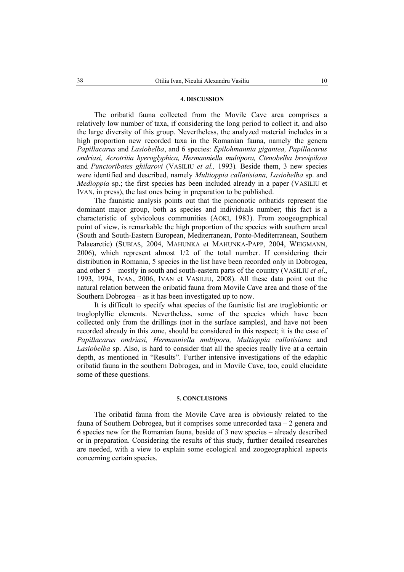#### **4. DISCUSSION**

The oribatid fauna collected from the Movile Cave area comprises a relatively low number of taxa, if considering the long period to collect it, and also the large diversity of this group. Nevertheless, the analyzed material includes in a high proportion new recorded taxa in the Romanian fauna, namely the genera *Papillacarus* and *Lasiobelba*, and 6 species: *Epilohmannia gigantea, Papillacarus ondriasi, Acrotritia hyeroglyphica, Hermanniella multipora, Ctenobelba brevipilosa*  and *Punctoribates ghilarovi* (VASILIU *et al.,* 1993)*.* Beside them, 3 new species were identified and described, namely *Multioppia callatisiana, Lasiobelba* sp. and *Medioppia* sp.; the first species has been included already in a paper (VASILIU et IVAN, in press), the last ones being in preparation to be published.

The faunistic analysis points out that the picnonotic oribatids represent the dominant major group, both as species and individuals number; this fact is a characteristic of sylvicolous communities (AOKI, 1983). From zoogeographical point of view, is remarkable the high proportion of the species with southern areal (South and South-Eastern European, Mediterranean, Ponto-Mediterranean, Southern Palaearctic) (SUBIAS, 2004, MAHUNKA et MAHUNKA-PAPP, 2004, WEIGMANN, 2006), which represent almost 1/2 of the total number. If considering their distribution in Romania, 5 species in the list have been recorded only in Dobrogea, and other 5 – mostly in south and south-eastern parts of the country (VASILIU *et al*., 1993, 1994, IVAN, 2006, IVAN et VASILIU, 2008). All these data point out the natural relation between the oribatid fauna from Movile Cave area and those of the Southern Dobrogea – as it has been investigated up to now.

It is difficult to specify what species of the faunistic list are troglobiontic or trogloplyllic elements. Nevertheless, some of the species which have been collected only from the drillings (not in the surface samples), and have not been recorded already in this zone, should be considered in this respect; it is the case of *Papillacarus ondriasi, Hermanniella multipora, Multioppia callatisiana* and *Lasiobelba* sp. Also, is hard to consider that all the species really live at a certain depth, as mentioned in "Results". Further intensive investigations of the edaphic oribatid fauna in the southern Dobrogea, and in Movile Cave, too, could elucidate some of these questions.

#### **5. CONCLUSIONS**

The oribatid fauna from the Movile Cave area is obviously related to the fauna of Southern Dobrogea, but it comprises some unrecorded taxa – 2 genera and 6 species new for the Romanian fauna, beside of 3 new species – already described or in preparation. Considering the results of this study, further detailed researches are needed, with a view to explain some ecological and zoogeographical aspects concerning certain species.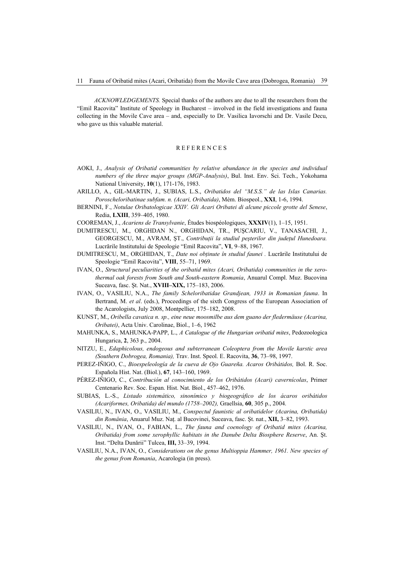*ACKNOWLEDGEMENTS.* Special thanks of the authors are due to all the researchers from the "Emil Racovita" Institute of Speology in Bucharest – involved in the field investigations and fauna collecting in the Movile Cave area – and, especially to Dr. Vasilica Iavorschi and Dr. Vasile Decu, who gave us this valuable material.

#### REFERENCES

- AOKI, J., *Analysis of Oribatid communities by relative abundance in the species and individual numbers of the three major groups (MGP-Analysis)*, Bul. Inst. Env. Sci. Tech., Yokohama National University, **10**(1), 171-176, 1983.
- ARILLO, A., GIL-MARTIN, J., SUBIAS, L.S., *Oribatidos del "M.S.S." de las Islas Canarias. Poroscheloribatinae subfam. n. (Acari, Oribatida)*, Mém. Biospeol., **XXI**, 1-6, 1994.
- BERNINI, F., *Notulae Oribatologicae XXIV. Gli Acari Oribatei di alcune piccole grotte del Senese*, Redia, **LXIII**, 359–405, 1980.
- COOREMAN, J., *Acariens de Transylvanie*, Études biospéologiques, **XXXIV**(1), 1–15, 1951.
- DUMITRESCU, M., ORGHDAN N., ORGHIDAN, TR., PUŞCARIU, V., TANASACHI, J., GEORGESCU, M., AVRAM, ST., *Contributii la studiul pesterilor din judetul Hunedoara.* Lucrările Institutului de Speologie "Emil Racovita", **VI**, 9–88, 1967.
- DUMITRESCU, M., ORGHIDAN, T., *Date noi obţinute în studiul faunei .* Lucrările Institutului de Speologie "Emil Racovita", **VIII**, 55–71, 1969.
- IVAN, O., *Structural peculiarities of the oribatid mites (Acari, Oribatida) communities in the xerothermal oak forests from South and South-eastern Romania*, Anuarul Compl. Muz. Bucovina Suceava, fasc. Şt. Nat., **XVIII–XIX,** 175–183, 2006.
- IVAN, O., VASILIU, N.A., *The family Scheloribatidae Grandjean, 1933 in Romanian fauna*. In Bertrand, M. *et al*. (eds.), Proceedings of the sixth Congress of the European Association of the Acarologists, July 2008, Montpellier, 175–182, 2008.
- KUNST, M., *Oribella cavatica n. sp., eine neue moosmilbe aus dem guano der fledermäuse (Acarina, Oribatei)*, Acta Univ. Carolinae, Biol., 1–6, 1962
- MAHUNKA, S., MAHUNKA-PAPP, L., *A Catalogue of the Hungarian oribatid mites*, Pedozoologica Hungarica, **2**, 363 p., 2004.
- NITZU, E., *Edaphicolous, endogeous and subterranean Coleoptera from the Movile karstic area (Southern Dobrogea, Romania),* Trav. Inst. Speol. E. Racovita, **36**, 73–98, 1997.
- PEREZ-IÑIGO, C., *Bioespeleología de la cueva de Ojo Guareña. Acaros Oribátidos,* Bol. R. Soc. Española Hist. Nat. (Biol.), **67**, 143–160, 1969.
- PÉREZ-IÑIGO, C., *Contribución al conocimiento de los Oribátidos (Acari) cavernícolas*, Primer Centenario Rev. Soc. Espan. Hist. Nat. Biol., 457–462, 1976.
- SUBIAS, L.-S., *Listado sistemático, sinonímico y biogeográfico de los ácaros oribátidos (Acariformes, Oribatida) del mundo (1758–2002),* Graellsia, **60**, 305 p., 2004.
- VASILIU, N., IVAN, O., VASILIU, M., *Conspectul faunistic al oribatidelor (Acarina, Oribatida) din România*, Anuarul Muz. Naţ. al Bucovinei, Suceava, fasc. Şt. nat., **XII,** 3–82, 1993.
- VASILIU, N., IVAN, O., FABIAN, L., *The fauna and coenology of Oribatid mites (Acarina, Oribatida) from some xerophyllic habitats in the Danube Delta Biosphere Reserve*, An. Şt. Inst. "Delta Dunării" Tulcea, **III,** 33–39, 1994.
- VASILIU, N.A., IVAN, O., *Considerations on the genus Multioppia Hammer, 1961. New species of the genus from Romania*, Acarologia (in press).